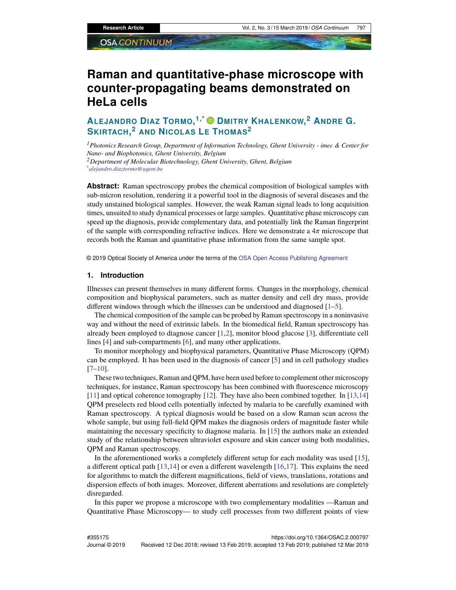# **Raman and quantitative-phase microscope with counter-propagating beams demonstrated on HeLa cells**

## **ALEJANDRO DIAZ TORMO, 1,\* DMITRY KHALENKOW, <sup>2</sup> ANDRE G. SKIRTACH, <sup>2</sup> AND NICOLAS L<sup>E</sup> THOMAS<sup>2</sup>**

*<sup>1</sup>Photonics Research Group, Department of Information Technology, Ghent University - imec & Center for Nano- and Biophotonics, Ghent University, Belgium <sup>2</sup>Department of Molecular Biotechnology, Ghent University, Ghent, Belgium \*alejandro.diaztormo@ugent.be*

**Abstract:** Raman spectroscopy probes the chemical composition of biological samples with sub-micron resolution, rendering it a powerful tool in the diagnosis of several diseases and the study unstained biological samples. However, the weak Raman signal leads to long acquisition times, unsuited to study dynamical processes or large samples. Quantitative phase microscopy can speed up the diagnosis, provide complementary data, and potentially link the Raman fingerprint of the sample with corresponding refractive indices. Here we demonstrate a  $4\pi$  microscope that records both the Raman and quantitative phase information from the same sample spot.

© 2019 Optical Society of America under the terms of the [OSA Open Access Publishing Agreement](https://doi.org/10.1364/OA_License_v1)

#### **1. Introduction**

Illnesses can present themselves in many different forms. Changes in the morphology, chemical composition and biophysical parameters, such as matter density and cell dry mass, provide different windows through which the illnesses can be understood and diagnosed [\[1–](#page-6-0)[5\]](#page-7-0).

The chemical composition of the sample can be probed by Raman spectroscopy in a noninvasive way and without the need of extrinsic labels. In the biomedical field, Raman spectroscopy has already been employed to diagnose cancer [\[1,](#page-6-0)[2\]](#page-6-1), monitor blood glucose [\[3\]](#page-6-2), differentiate cell lines [\[4\]](#page-7-1) and sub-compartments [\[6\]](#page-7-2), and many other applications.

To monitor morphology and biophysical parameters, Quantitative Phase Microscopy (QPM) can be employed. It has been used in the diagnosis of cancer [\[5\]](#page-7-0) and in cell pathology studies [\[7](#page-7-3)[–10\]](#page-7-4).

These two techniques, Raman and QPM, have been used before to complement other microscopy techniques, for instance, Raman spectroscopy has been combined with fluorescence microscopy [\[11\]](#page-7-5) and optical coherence tomography [\[12\]](#page-7-6). They have also been combined together. In [\[13,](#page-7-7)[14\]](#page-7-8) QPM preselects red blood cells potentially infected by malaria to be carefully examined with Raman spectroscopy. A typical diagnosis would be based on a slow Raman scan across the whole sample, but using full-field QPM makes the diagnosis orders of magnitude faster while maintaining the necessary specificity to diagnose malaria. In [\[15\]](#page-7-9) the authors make an extended study of the relationship between ultraviolet exposure and skin cancer using both modalities, QPM and Raman spectroscopy.

In the aforementioned works a completely different setup for each modality was used [\[15\]](#page-7-9), a different optical path  $[13,14]$  $[13,14]$  or even a different wavelength  $[16,17]$  $[16,17]$ . This explains the need for algorithms to match the different magnifications, field of views, translations, rotations and dispersion effects of both images. Moreover, different aberrations and resolutions are completely disregarded.

In this paper we propose a microscope with two complementary modalities —Raman and Quantitative Phase Microscopy— to study cell processes from two different points of view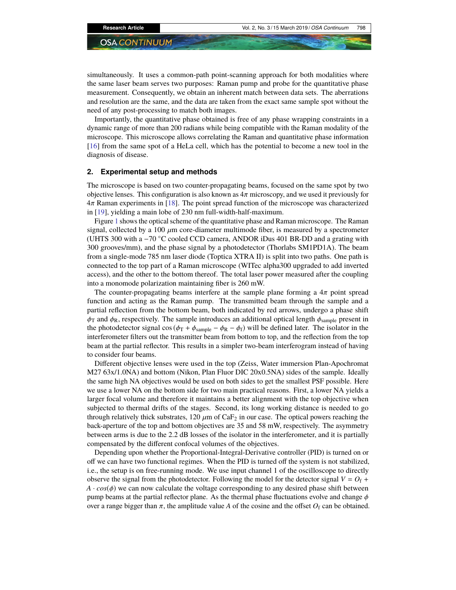simultaneously. It uses a common-path point-scanning approach for both modalities where the same laser beam serves two purposes: Raman pump and probe for the quantitative phase measurement. Consequently, we obtain an inherent match between data sets. The aberrations and resolution are the same, and the data are taken from the exact same sample spot without the need of any post-processing to match both images.

Importantly, the quantitative phase obtained is free of any phase wrapping constraints in a dynamic range of more than 200 radians while being compatible with the Raman modality of the microscope. This microscope allows correlating the Raman and quantitative phase information [\[16\]](#page-7-10) from the same spot of a HeLa cell, which has the potential to become a new tool in the diagnosis of disease.

#### **2. Experimental setup and methods**

The microscope is based on two counter-propagating beams, focused on the same spot by two objective lenses. This configuration is also known as  $4\pi$  microscopy, and we used it previously for 4π Raman experiments in [\[18\]](#page-7-12). The point spread function of the microscope was characterized in [\[19\]](#page-7-13), yielding a main lobe of 230 nm full-width-half-maximum.

Figure [1](#page-2-0) shows the optical scheme of the quantitative phase and Raman microscope. The Raman signal, collected by a 100  $\mu$ m core-diameter multimode fiber, is measured by a spectrometer (UHTS 300 with a  $-70$  °C cooled CCD camera, ANDOR iDus 401 BR-DD and a grating with 300 grooves/mm), and the phase signal by a photodetector (Thorlabs SM1PD1A). The beam from a single-mode 785 nm laser diode (Toptica XTRA II) is split into two paths. One path is connected to the top part of a Raman microscope (WITec alpha300 upgraded to add inverted access), and the other to the bottom thereof. The total laser power measured after the coupling into a monomode polarization maintaining fiber is 260 mW.

The counter-propagating beams interfere at the sample plane forming a  $4\pi$  point spread function and acting as the Raman pump. The transmitted beam through the sample and a partial reflection from the bottom beam, both indicated by red arrows, undergo a phase shift  $\phi_T$  and  $\phi_R$ , respectively. The sample introduces an additional optical length  $\phi_{\text{sample}}$  present in the photodetector signal cos ( $\phi_T + \phi_{\text{sample}} - \phi_R - \phi_f$ ) will be defined later. The isolator in the interferometer filters out the transmitter beam from bottom to top, and the reflection from the top beam at the partial reflector. This results in a simpler two-beam interferogram instead of having to consider four beams.

Different objective lenses were used in the top (Zeiss, Water immersion Plan-Apochromat M27 63x/1.0NA) and bottom (Nikon, Plan Fluor DIC 20x0.5NA) sides of the sample. Ideally the same high NA objectives would be used on both sides to get the smallest PSF possible. Here we use a lower NA on the bottom side for two main practical reasons. First, a lower NA yields a larger focal volume and therefore it maintains a better alignment with the top objective when subjected to thermal drifts of the stages. Second, its long working distance is needed to go through relatively thick substrates,  $120 \mu m$  of CaF<sub>2</sub> in our case. The optical powers reaching the back-aperture of the top and bottom objectives are 35 and 58 mW, respectively. The asymmetry between arms is due to the 2.2 dB losses of the isolator in the interferometer, and it is partially compensated by the different confocal volumes of the objectives.

Depending upon whether the Proportional-Integral-Derivative controller (PID) is turned on or off we can have two functional regimes. When the PID is turned off the system is not stabilized, i.e., the setup is on free-running mode. We use input channel 1 of the oscilloscope to directly observe the signal from the photodetector. Following the model for the detector signal  $V = O_f +$  $A \cdot cos(\phi)$  we can now calculate the voltage corresponding to any desired phase shift between pump beams at the partial reflector plane. As the thermal phase fluctuations evolve and change  $\phi$ over a range bigger than  $\pi$ , the amplitude value *A* of the cosine and the offset  $O_f$  can be obtained.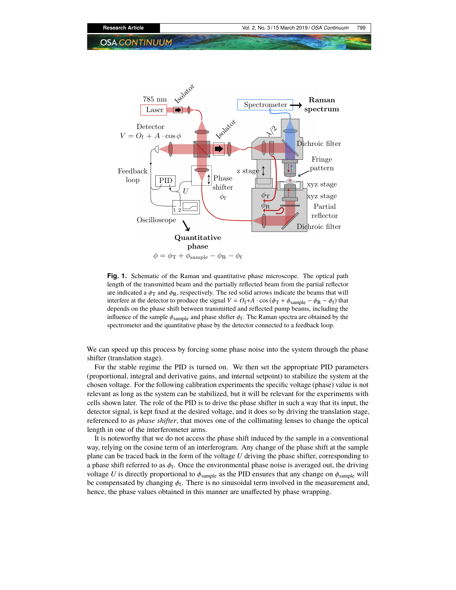

<span id="page-2-0"></span>Fig. 1. Schematic of the Raman and quantitative phase microscope. The optical path **Fig. 1.** Schematic of the Raman and quantitative phase microscope. The optical path length of the transmitted beam and the partially reflected beam from the partial reflector length of the transmitted beam and the partially reflected beam from the partial reflector are indicated a  $\phi_T$  and  $\phi_R$ , respectively. The red solid arrows indicate the beams that will interfere at the detector to produce the signal  $V = O_f + A \cdot \cos(\phi_T + \phi_{\text{sample}} - \phi_R - \phi_f)$  that depends on the phase shift between transmitted and reflected pump beams, including the influence of  $\frac{1}{2}$ influence of the sample  $\phi_{\text{sample}}$  and phase shifter  $\phi_f$ . The Raman spectra are obtained by the spectrometer and the quantitative phase by the detector connected to a feedback loop.

We can speed up this process by forcing some phase noise into the system through the phase  $\frac{1}{\text{shifter (translation stage)}}$ .

For the stable regime the PID is turned on. We then set the appropriate PID parameters (proportional, integral and derivative gains, and internal setpoint) to stabilize the system at the chosen voltage. For the following calibration experiments the specific voltage (phase) value is not relevant as long as the system can be stabilized, but it will be relevant for the experiments with cells shown later. The role of the PID is to drive the phase shifter in such a way that its input, the detector signal, is kept fixed at the desired voltage, and it does so by driving the translation stage, referenced to as *phase shifter*, that moves one of the collimating lenses to change the optical length in one of the interferometer arms.

It is noteworthy that we do not access the phase shift induced by the sample in a conventional way, relying on the cosine term of an interferogram. Any change of the phase shift at the sample plane can be traced back in the form of the voltage *U* driving the phase shifter, corresponding to a phase shift referred to as  $\phi_f$ . Once the environmental phase noise is averaged out, the driving voltage *U* is directly proportional to  $\phi_{\text{sample}}$  as the PID ensures that any change on  $\phi_{\text{sample}}$  will be compensated by changing  $\phi_f$ . There is no sinusoidal term involved in the measurement and, hence, the phase values obtained in this manner are unaffected by phase wrapping.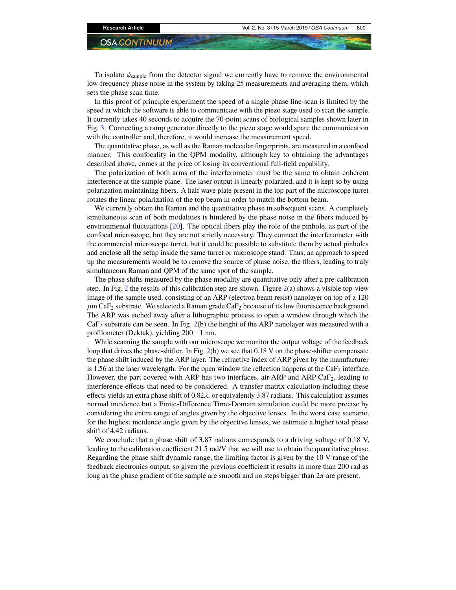To isolate  $\phi_{sample}$  from the detector signal we currently have to remove the environmental low-frequency phase noise in the system by taking 25 measurements and averaging them, which sets the phase scan time.

In this proof of principle experiment the speed of a single phase line-scan is limited by the speed at which the software is able to communicate with the piezo stage used to scan the sample. It currently takes 40 seconds to acquire the 70-point scans of biological samples shown later in Fig. [3.](#page-5-0) Connecting a ramp generator directly to the piezo stage would spare the communication with the controller and, therefore, it would increase the measurement speed.

The quantitative phase, as well as the Raman molecular fingerprints, are measured in a confocal manner. This confocality in the QPM modality, although key to obtaining the advantages described above, comes at the price of losing its conventional full-field capability.

The polarization of both arms of the interferometer must be the same to obtain coherent interference at the sample plane. The laser output is linearly polarized, and it is kept so by using polarization maintaining fibers. A half wave plate present in the top part of the microscope turret rotates the linear polarization of the top beam in order to match the bottom beam.

We currently obtain the Raman and the quantitative phase in subsequent scans. A completely simultaneous scan of both modalities is hindered by the phase noise in the fibers induced by environmental fluctuations [\[20\]](#page-7-14). The optical fibers play the role of the pinhole, as part of the confocal microscope, but they are not strictly necessary. They connect the interferometer with the commercial microscope turret, but it could be possible to substitute them by actual pinholes and enclose all the setup inside the same turret or microscope stand. Thus, an approach to speed up the measurements would be to remove the source of phase noise, the fibers, leading to truly simultaneous Raman and QPM of the same spot of the sample.

The phase shifts measured by the phase modality are quantitative only after a pre-calibration step. In Fig. [2](#page-4-0) the results of this calibration step are shown. Figure  $2(a)$  $2(a)$  shows a visible top-view image of the sample used, consisting of an ARP (electron beam resist) nanolayer on top of a 120  $\mu$ m CaF<sub>2</sub> substrate. We selected a Raman grade CaF<sub>2</sub> because of its low fluorescence background. The ARP was etched away after a lithographic process to open a window through which the  $CaF<sub>2</sub>$  substrate can be seen. In Fig. [2\(](#page-4-0)b) the height of the ARP nanolayer was measured with a profilometer (Dektak), yielding  $200 \pm 1$  nm.

While scanning the sample with our microscope we monitor the output voltage of the feedback loop that drives the phase-shifter. In Fig. [2\(](#page-4-0)b) we see that 0.18 V on the phase-shifter compensate the phase shift induced by the ARP layer. The refractive index of ARP given by the manufacturer is 1.56 at the laser wavelength. For the open window the reflection happens at the  $CaF<sub>2</sub>$  interface. However, the part covered with ARP has two interfaces, air-ARP and ARP-Ca $F_2$ , leading to interference effects that need to be considered. A transfer matrix calculation including these effects yields an extra phase shift of  $0.82\lambda$ , or equivalently 3.87 radians. This calculation assumes normal incidence but a Finite-Difference Time-Domain simulation could be more precise by considering the entire range of angles given by the objective lenses. In the worst case scenario, for the highest incidence angle given by the objective lenses, we estimate a higher total phase shift of 4.42 radians.

We conclude that a phase shift of 3.87 radians corresponds to a driving voltage of 0.18 V, leading to the calibration coefficient 21.5 rad/V that we will use to obtain the quantitative phase. Regarding the phase shift dynamic range, the limiting factor is given by the 10 V range of the feedback electronics output, so given the previous coefficient it results in more than 200 rad as long as the phase gradient of the sample are smooth and no steps bigger than  $2\pi$  are present.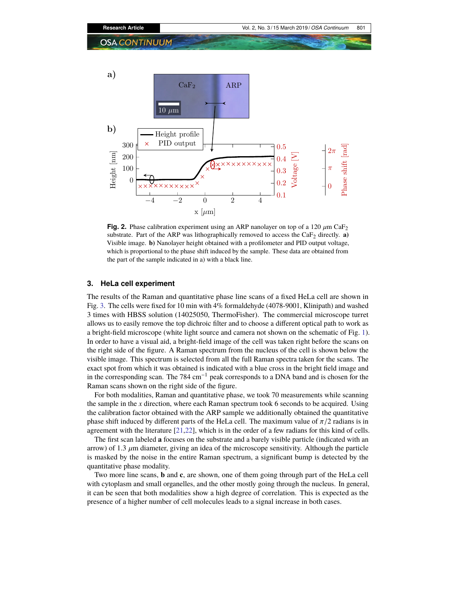

<span id="page-4-0"></span>**Fig. 2.** Phase calibration experiment using an ARP nanolayer on top of a 120  $\mu$ m CaF<sub>2</sub> substrate. Part of the ARP was lithographically removed to access the  $\text{CaF}_2$  directly. **a**) Visible image. **b)** Nanolayer height obtained with a profilometer and PID output voltage, which is proportional to the phase shift induced by the sample. These data are obtained from the part of the sample indicated in a) with a black line.

#### **3. HeLa cell experiment**

The results of the Raman and quantitative phase line scans of a fixed HeLa cell are shown in Fig. [3.](#page-5-0) The cells were fixed for 10 min with 4% formaldehyde (4078-9001, Klinipath) and washed 3 times with HBSS solution (14025050, ThermoFisher). The commercial microscope turret allows us to easily remove the top dichroic filter and to choose a different optical path to work as a bright-field microscope (white light source and camera not shown on the schematic of Fig. [1\)](#page-2-0). In order to have a visual aid, a bright-field image of the cell was taken right before the scans on the right side of the figure. A Raman spectrum from the nucleus of the cell is shown below the visible image. This spectrum is selected from all the full Raman spectra taken for the scans. The exact spot from which it was obtained is indicated with a blue cross in the bright field image and in the corresponding scan. The 784 cm−<sup>1</sup> peak corresponds to a DNA band and is chosen for the Raman scans shown on the right side of the figure.

For both modalities, Raman and quantitative phase, we took 70 measurements while scanning the sample in the *x* direction, where each Raman spectrum took 6 seconds to be acquired. Using the calibration factor obtained with the ARP sample we additionally obtained the quantitative phase shift induced by different parts of the HeLa cell. The maximum value of  $\pi/2$  radians is in agreement with the literature [\[21,](#page-7-15)[22\]](#page-7-16), which is in the order of a few radians for this kind of cells.

The first scan labeled **a** focuses on the substrate and a barely visible particle (indicated with an arrow) of 1.3  $\mu$ m diameter, giving an idea of the microscope sensitivity. Although the particle is masked by the noise in the entire Raman spectrum, a significant bump is detected by the quantitative phase modality.

Two more line scans, **b** and **c**, are shown, one of them going through part of the HeLa cell with cytoplasm and small organelles, and the other mostly going through the nucleus. In general, it can be seen that both modalities show a high degree of correlation. This is expected as the presence of a higher number of cell molecules leads to a signal increase in both cases.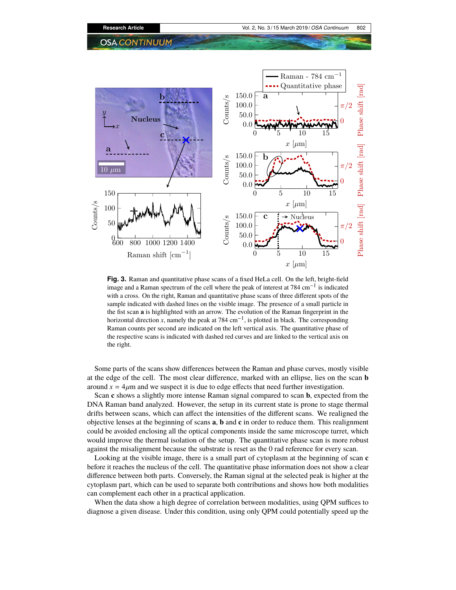

<span id="page-5-0"></span>**Fig. 3.** Raman and quantitative phase scans of a fixed HeLa cell. On the left, bright-field image and a Raman spectrum of the cell where the peak of interest at 784 cm−<sup>1</sup> is indicated with a cross. On the right, Raman and quantitative phase scans of three different spots of the sample indicated with dashed lines on the visible image. The presence of a small particle in the fist scan **a** is highlighted with an arrow. The evolution of the Raman fingerprint in the horizontal direction *x*, namely the peak at 784 cm<sup>-1</sup>, is plotted in black. The corresponding Raman counts per second are indicated on the left vertical axis. The quantitative phase of the respective scans is indicated with dashed red curves and are linked to the vertical axis on the right.

Some parts of the scans show differences between the Raman and phase curves, mostly visible at the edge of the cell. The most clear difference, marked with an ellipse, lies on the scan **b** around  $x = 4\mu m$  and we suspect it is due to edge effects that need further investigation.

Scan **c** shows a slightly more intense Raman signal compared to scan **b**, expected from the DNA Raman band analyzed. However, the setup in its current state is prone to stage thermal drifts between scans, which can affect the intensities of the different scans. We realigned the objective lenses at the beginning of scans **a**, **b** and **c** in order to reduce them. This realignment could be avoided enclosing all the optical components inside the same microscope turret, which would improve the thermal isolation of the setup. The quantitative phase scan is more robust against the misalignment because the substrate is reset as the 0 rad reference for every scan.

Looking at the visible image, there is a small part of cytoplasm at the beginning of scan **c** before it reaches the nucleus of the cell. The quantitative phase information does not show a clear difference between both parts. Conversely, the Raman signal at the selected peak is higher at the cytoplasm part, which can be used to separate both contributions and shows how both modalities can complement each other in a practical application.

When the data show a high degree of correlation between modalities, using QPM suffices to diagnose a given disease. Under this condition, using only QPM could potentially speed up the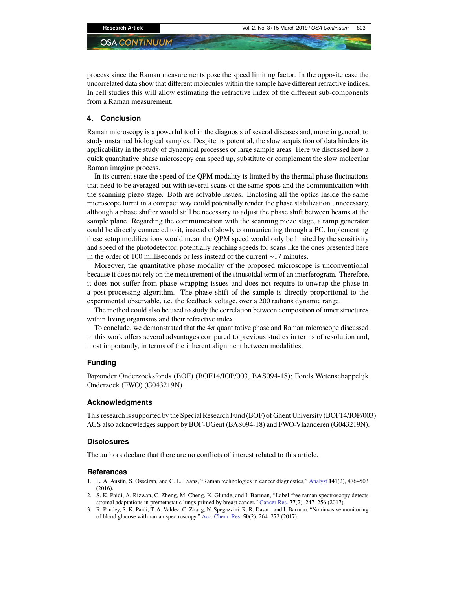process since the Raman measurements pose the speed limiting factor. In the opposite case the uncorrelated data show that different molecules within the sample have different refractive indices. In cell studies this will allow estimating the refractive index of the different sub-components from a Raman measurement.

#### **4. Conclusion**

Raman microscopy is a powerful tool in the diagnosis of several diseases and, more in general, to study unstained biological samples. Despite its potential, the slow acquisition of data hinders its applicability in the study of dynamical processes or large sample areas. Here we discussed how a quick quantitative phase microscopy can speed up, substitute or complement the slow molecular Raman imaging process.

In its current state the speed of the QPM modality is limited by the thermal phase fluctuations that need to be averaged out with several scans of the same spots and the communication with the scanning piezo stage. Both are solvable issues. Enclosing all the optics inside the same microscope turret in a compact way could potentially render the phase stabilization unnecessary, although a phase shifter would still be necessary to adjust the phase shift between beams at the sample plane. Regarding the communication with the scanning piezo stage, a ramp generator could be directly connected to it, instead of slowly communicating through a PC. Implementing these setup modifications would mean the QPM speed would only be limited by the sensitivity and speed of the photodetector, potentially reaching speeds for scans like the ones presented here in the order of 100 milliseconds or less instead of the current ∼17 minutes.

Moreover, the quantitative phase modality of the proposed microscope is unconventional because it does not rely on the measurement of the sinusoidal term of an interferogram. Therefore, it does not suffer from phase-wrapping issues and does not require to unwrap the phase in a post-processing algorithm. The phase shift of the sample is directly proportional to the experimental observable, i.e. the feedback voltage, over a 200 radians dynamic range.

The method could also be used to study the correlation between composition of inner structures within living organisms and their refractive index.

To conclude, we demonstrated that the  $4\pi$  quantitative phase and Raman microscope discussed in this work offers several advantages compared to previous studies in terms of resolution and, most importantly, in terms of the inherent alignment between modalities.

#### **Funding**

Bijzonder Onderzoeksfonds (BOF) (BOF14/IOP/003, BAS094-18); Fonds Wetenschappelijk Onderzoek (FWO) (G043219N).

#### **Acknowledgments**

This research is supported by the Special Research Fund (BOF) of Ghent University (BOF14/IOP/003). AGS also acknowledges support by BOF-UGent (BAS094-18) and FWO-Vlaanderen (G043219N).

#### **Disclosures**

The authors declare that there are no conflicts of interest related to this article.

#### **References**

- <span id="page-6-0"></span>1. L. A. Austin, S. Osseiran, and C. L. Evans, "Raman technologies in cancer diagnostics," [Analyst](https://doi.org/10.1039/C5AN01786F) **141**(2), 476–503 (2016).
- <span id="page-6-1"></span>2. S. K. Paidi, A. Rizwan, C. Zheng, M. Cheng, K. Glunde, and I. Barman, "Label-free raman spectroscopy detects stromal adaptations in premetastatic lungs primed by breast cancer," [Cancer Res.](https://doi.org/10.1158/0008-5472.CAN-16-1862) **77**(2), 247–256 (2017).
- <span id="page-6-2"></span>3. R. Pandey, S. K. Paidi, T. A. Valdez, C. Zhang, N. Spegazzini, R. R. Dasari, and I. Barman, "Noninvasive monitoring of blood glucose with raman spectroscopy," [Acc. Chem. Res.](https://doi.org/10.1021/acs.accounts.6b00472) **50**(2), 264–272 (2017).